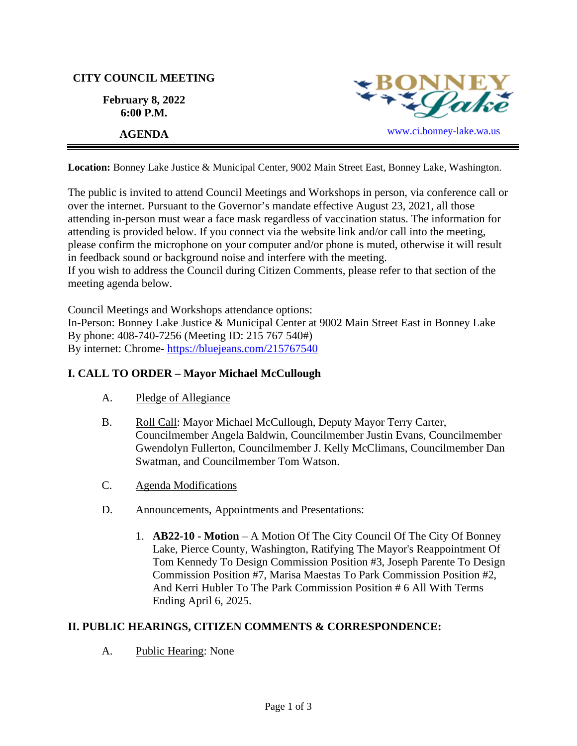## **CITY COUNCIL MEETING**

**February 8, 2022 6:00 P.M.**



**Location:** Bonney Lake Justice & Municipal Center, 9002 Main Street East, Bonney Lake, Washington.

The public is invited to attend Council Meetings and Workshops in person, via conference call or over the internet. Pursuant to the Governor's mandate effective August 23, 2021, all those attending in-person must wear a face mask regardless of vaccination status. The information for attending is provided below. If you connect via the website link and/or call into the meeting, please confirm the microphone on your computer and/or phone is muted, otherwise it will result in feedback sound or background noise and interfere with the meeting.

If you wish to address the Council during Citizen Comments, please refer to that section of the meeting agenda below.

Council Meetings and Workshops attendance options:

In-Person: Bonney Lake Justice & Municipal Center at 9002 Main Street East in Bonney Lake By phone: 408-740-7256 (Meeting ID: 215 767 540#) By internet: Chrome- [https://bluejeans.com/215767540](https://bluejeans.com/215767540?src=calendarLink&flow=joinmeeting)

## **I. CALL TO ORDER – Mayor Michael McCullough**

- A. Pledge of Allegiance
- B. Roll Call: Mayor Michael McCullough, Deputy Mayor Terry Carter, Councilmember Angela Baldwin, Councilmember Justin Evans, Councilmember Gwendolyn Fullerton, Councilmember J. Kelly McClimans, Councilmember Dan Swatman, and Councilmember Tom Watson.
- C. Agenda Modifications
- D. Announcements, Appointments and Presentations:
	- 1. **AB22-10 - Motion** A Motion Of The City Council Of The City Of Bonney Lake, Pierce County, Washington, Ratifying The Mayor's Reappointment Of Tom Kennedy To Design Commission Position #3, Joseph Parente To Design Commission Position #7, Marisa Maestas To Park Commission Position #2, And Kerri Hubler To The Park Commission Position # 6 All With Terms Ending April 6, 2025.

## **II. PUBLIC HEARINGS, CITIZEN COMMENTS & CORRESPONDENCE:**

A. Public Hearing: None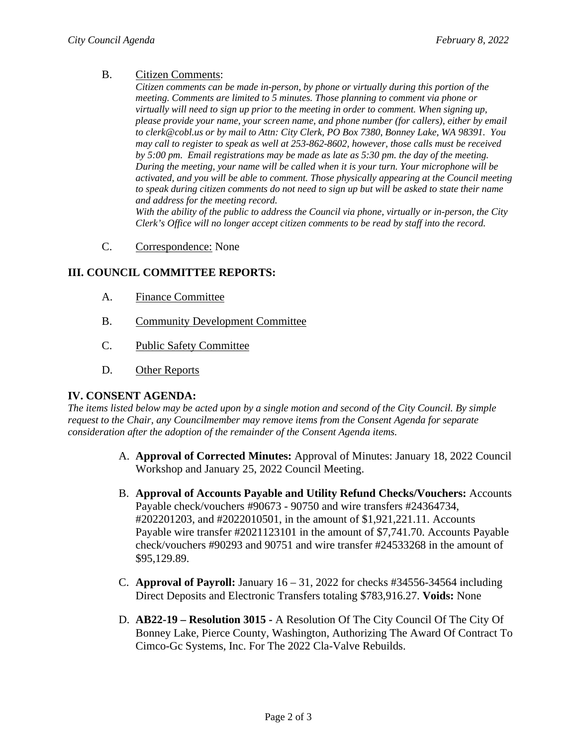# B. Citizen Comments:

*Citizen comments can be made in-person, by phone or virtually during this portion of the meeting. Comments are limited to 5 minutes. Those planning to comment via phone or virtually will need to sign up prior to the meeting in order to comment. When signing up, please provide your name, your screen name, and phone number (for callers), either by email to clerk@cobl.us or by mail to Attn: City Clerk, PO Box 7380, Bonney Lake, WA 98391. You may call to register to speak as well at 253-862-8602, however, those calls must be received by 5:00 pm. Email registrations may be made as late as 5:30 pm. the day of the meeting. During the meeting, your name will be called when it is your turn. Your microphone will be activated, and you will be able to comment. Those physically appearing at the Council meeting to speak during citizen comments do not need to sign up but will be asked to state their name and address for the meeting record.*

*With the ability of the public to address the Council via phone, virtually or in-person, the City Clerk's Office will no longer accept citizen comments to be read by staff into the record.*

C. Correspondence: None

# **III. COUNCIL COMMITTEE REPORTS:**

- A. Finance Committee
- B. Community Development Committee
- C. Public Safety Committee
- D. Other Reports

# **IV. CONSENT AGENDA:**

*The items listed below may be acted upon by a single motion and second of the City Council. By simple request to the Chair, any Councilmember may remove items from the Consent Agenda for separate consideration after the adoption of the remainder of the Consent Agenda items.*

- A. **Approval of Corrected Minutes:** Approval of Minutes: January 18, 2022 Council Workshop and January 25, 2022 Council Meeting.
- B. **Approval of Accounts Payable and Utility Refund Checks/Vouchers:** Accounts Payable check/vouchers #90673 - 90750 and wire transfers #24364734, #202201203, and #2022010501, in the amount of \$1,921,221.11. Accounts Payable wire transfer #2021123101 in the amount of \$7,741.70. Accounts Payable check/vouchers #90293 and 90751 and wire transfer #24533268 in the amount of \$95,129.89.
- C. **Approval of Payroll:** January 16 31, 2022 for checks #34556-34564 including Direct Deposits and Electronic Transfers totaling \$783,916.27. **Voids:** None
- D. **AB22-19 – Resolution 3015 -** A Resolution Of The City Council Of The City Of Bonney Lake, Pierce County, Washington, Authorizing The Award Of Contract To Cimco-Gc Systems, Inc. For The 2022 Cla-Valve Rebuilds.